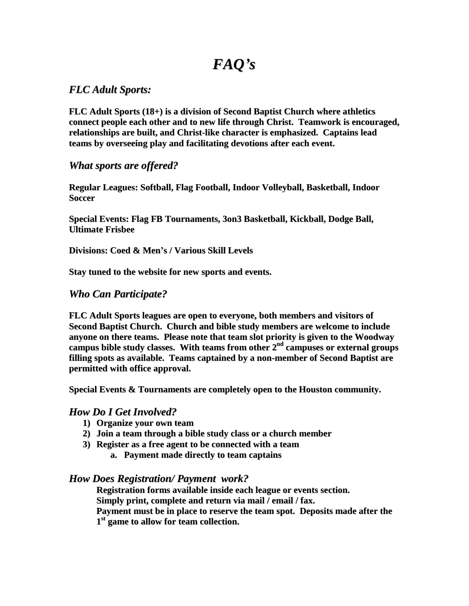# *FAQ's*

# *FLC Adult Sports:*

**FLC Adult Sports (18+) is a division of Second Baptist Church where athletics connect people each other and to new life through Christ. Teamwork is encouraged, relationships are built, and Christ-like character is emphasized. Captains lead teams by overseeing play and facilitating devotions after each event.**

# *What sports are offered?*

**Regular Leagues: Softball, Flag Football, Indoor Volleyball, Basketball, Indoor Soccer**

**Special Events: Flag FB Tournaments, 3on3 Basketball, Kickball, Dodge Ball, Ultimate Frisbee**

**Divisions: Coed & Men's / Various Skill Levels**

**Stay tuned to the website for new sports and events.**

# *Who Can Participate?*

**FLC Adult Sports leagues are open to everyone, both members and visitors of Second Baptist Church. Church and bible study members are welcome to include anyone on there teams. Please note that team slot priority is given to the Woodway campus bible study classes. With teams from other 2 nd campuses or external groups filling spots as available. Teams captained by a non-member of Second Baptist are permitted with office approval.**

**Special Events & Tournaments are completely open to the Houston community.**

## *How Do I Get Involved?*

- **1) Organize your own team**
- **2) Join a team through a bible study class or a church member**
- **3) Register as a free agent to be connected with a team**
	- **a. Payment made directly to team captains**

## *How Does Registration/ Payment work?*

**Registration forms available inside each league or events section. Simply print, complete and return via mail / email / fax. Payment must be in place to reserve the team spot. Deposits made after the 1 st game to allow for team collection.**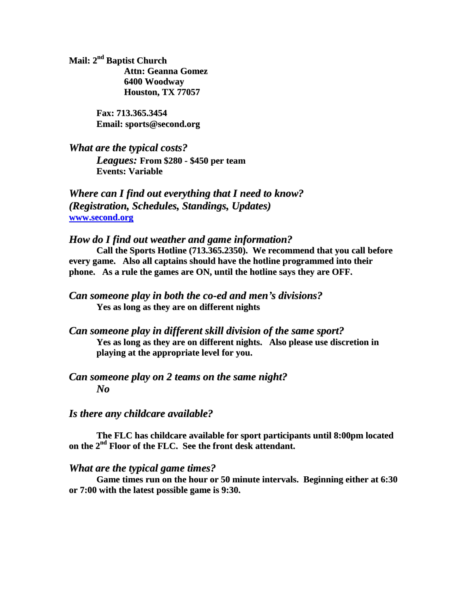**Mail: 2 nd Baptist Church Attn: Geanna Gomez 6400 Woodway Houston, TX 77057**

> **Fax: 713.365.3454 Email: sports@second.org**

*What are the typical costs? Leagues:* **From \$280 - \$450 per team Events: Variable**

*Where can I find out everything that I need to know? (Registration, Schedules, Standings, Updates)* **[www.second.org](http://www.second.org/)**

### *How do I find out weather and game information?*

**Call the Sports Hotline (713.365.2350). We recommend that you call before every game. Also all captains should have the hotline programmed into their phone. As a rule the games are ON, until the hotline says they are OFF.**

*Can someone play in both the co-ed and men's divisions?* **Yes as long as they are on different nights**

*Can someone play in different skill division of the same sport?* **Yes as long as they are on different nights. Also please use discretion in playing at the appropriate level for you.**

# *Can someone play on 2 teams on the same night? No*

#### *Is there any childcare available?*

**The FLC has childcare available for sport participants until 8:00pm located on the 2 nd Floor of the FLC. See the front desk attendant.**

#### *What are the typical game times?*

**Game times run on the hour or 50 minute intervals. Beginning either at 6:30 or 7:00 with the latest possible game is 9:30.**